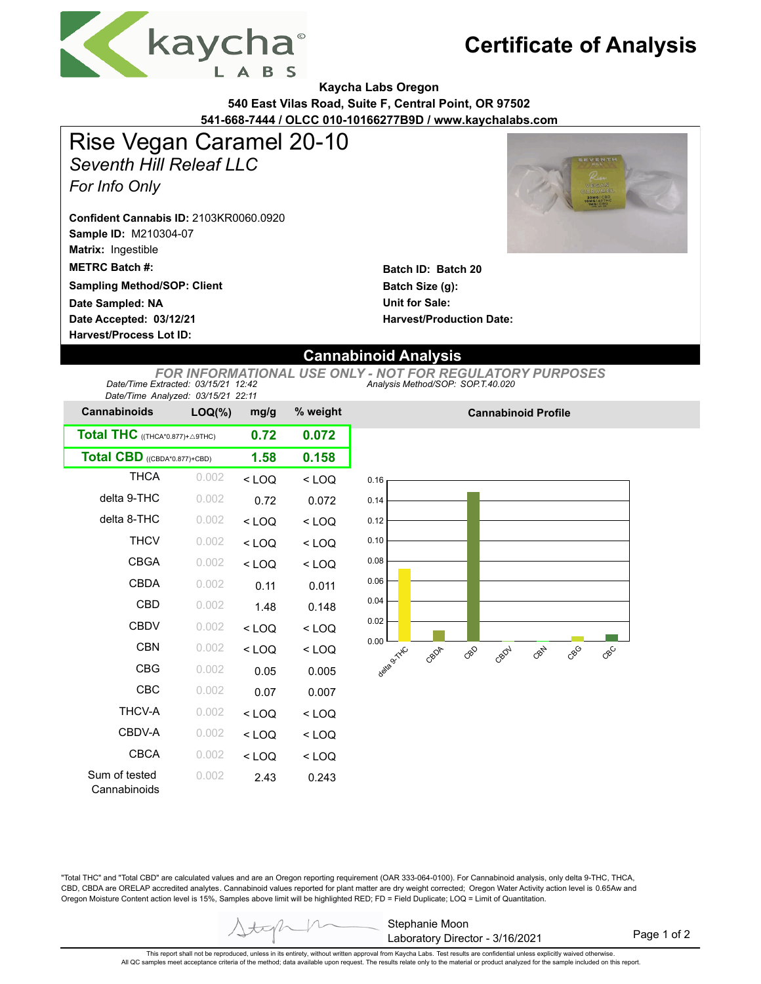

## **Certificate of Analysis**

**Kaycha Labs Oregon**

**540 East Vilas Road, Suite F, Central Point, OR 97502**

**541-668-7444 / OLCC 010-10166277B9D / www.kaychalabs.com**

# Rise Vegan Caramel 20-10

*Seventh Hill Releaf LLC*

*For Info Only*

**Sample ID:** M210304-07 **Matrix:** Ingestible **Confident Cannabis ID:** 2103KR0060.0920

**METRC Batch #:** 

**Sampling Method/SOP: Client**

**Date Accepted: 03/12/21 Date Sampled: NA**

**Harvest/Process Lot ID:** 



**Batch ID: Batch 20 Batch Size (g): Unit for Sale: Harvest/Production Date:** 

### **Cannabinoid Analysis**

*Analysis Method/SOP: SOP.T.40.020 FOR INFORMATIONAL USE ONLY - NOT FOR REGULATORY PURPOSES Date/Time Extracted: 03/15/21 12:42 Date/Time Analyzed: 03/15/21 22:11*

| Date/Time Analyzed. 03/13/21 22.11 |           |         |          |  |
|------------------------------------|-----------|---------|----------|--|
| <b>Cannabinoids</b>                | $LOQ(\%)$ | mg/g    | % weight |  |
| Total THC ((THCA*0.877)+ A9THC)    | 0.72      | 0.072   |          |  |
| Total CBD ((CBDA*0.877)+CBD)       | 1.58      | 0.158   |          |  |
| THCA                               | 0.002     | $<$ LOQ | $<$ LOQ  |  |
| delta 9-THC                        | 0.002     | 0.72    | 0.072    |  |
| delta 8-THC                        | 0.002     | $<$ LOQ | $<$ LOQ  |  |
| <b>THCV</b>                        | 0.002     | $<$ LOQ | $<$ LOQ  |  |
| <b>CBGA</b>                        | 0.002     | $<$ LOQ | $<$ LOQ  |  |
| CBDA                               | 0.002     | 0.11    | 0.011    |  |
| CBD                                | 0.002     | 1.48    | 0.148    |  |
| <b>CBDV</b>                        | 0.002     | $<$ LOQ | $<$ LOQ  |  |
| CBN                                | 0.002     | $<$ LOQ | $<$ LOQ  |  |
| <b>CBG</b>                         | 0.002     | 0.05    | 0.005    |  |
| CBC                                | 0.002     | 0.07    | 0.007    |  |
| <b>THCV-A</b>                      | 0.002     | $<$ LOQ | $<$ LOQ  |  |
| CBDV-A                             | 0.002     | $<$ LOQ | $<$ LOQ  |  |
| CBCA                               | 0.002     | $<$ LOQ | $<$ LOQ  |  |
| Sum of tested<br>Cannabinoids      | 0.002     | 2.43    | 0.243    |  |



**Cannabinoid Profile**

"Total THC" and "Total CBD" are calculated values and are an Oregon reporting requirement (OAR 333-064-0100). For Cannabinoid analysis, only delta 9-THC, THCA, CBD, CBDA are ORELAP accredited analytes. Cannabinoid values reported for plant matter are dry weight corrected; Oregon Water Activity action level is 0.65Aw and Oregon Moisture Content action level is 15%, Samples above limit will be highlighted RED; FD = Field Duplicate; LOQ = Limit of Quantitation.

> Stephanie Moon Laboratory Director - 3/16/2021

Page 1 of 2

This report shall not be reproduced, unless in its entirety, without written approval from Kaycha Labs. Test results are confidential unless explicitly waived otherwise.<br>All QC samples meet acceptance criteria of the metho